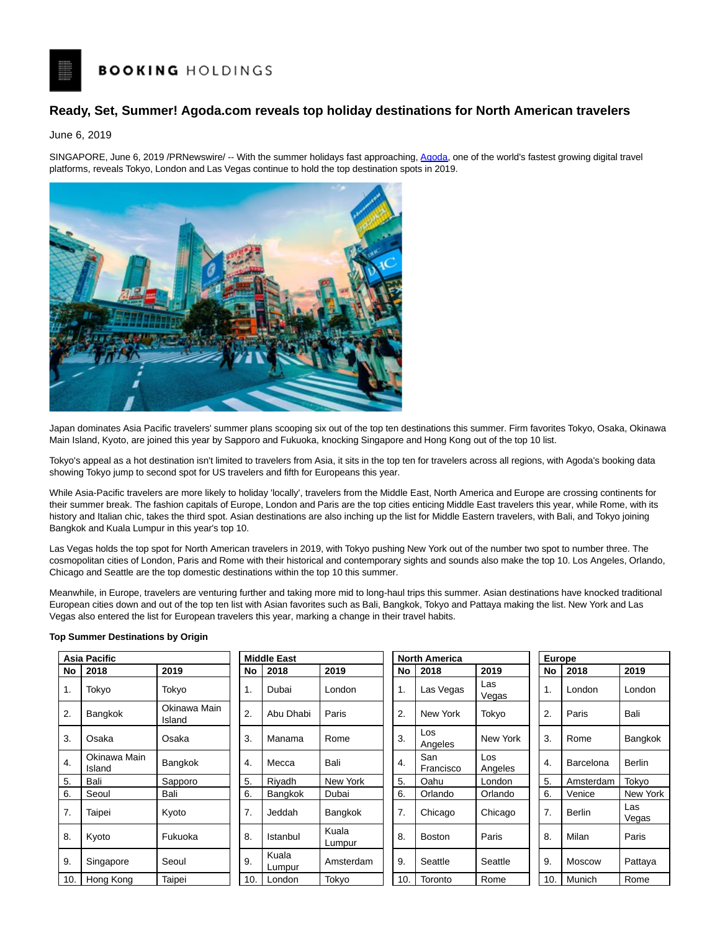# **BOOKING HOLDINGS**

## **Ready, Set, Summer! Agoda.com reveals top holiday destinations for North American travelers**

June 6, 2019

SINGAPORE, June 6, 2019 /PRNewswire/ -- With the summer holidays fast approaching, [Agoda,](https://www.agoda.com/?site_id=1811392) one of the world's fastest growing digital travel platforms, reveals Tokyo, London and Las Vegas continue to hold the top destination spots in 2019.



Japan dominates Asia Pacific travelers' summer plans scooping six out of the top ten destinations this summer. Firm favorites Tokyo, Osaka, Okinawa Main Island, Kyoto, are joined this year by Sapporo and Fukuoka, knocking Singapore and Hong Kong out of the top 10 list.

Tokyo's appeal as a hot destination isn't limited to travelers from Asia, it sits in the top ten for travelers across all regions, with Agoda's booking data showing Tokyo jump to second spot for US travelers and fifth for Europeans this year.

While Asia-Pacific travelers are more likely to holiday 'locally', travelers from the Middle East, North America and Europe are crossing continents for their summer break. The fashion capitals of Europe, London and Paris are the top cities enticing Middle East travelers this year, while Rome, with its history and Italian chic, takes the third spot. Asian destinations are also inching up the list for Middle Eastern travelers, with Bali, and Tokyo joining Bangkok and Kuala Lumpur in this year's top 10.

Las Vegas holds the top spot for North American travelers in 2019, with Tokyo pushing New York out of the number two spot to number three. The cosmopolitan cities of London, Paris and Rome with their historical and contemporary sights and sounds also make the top 10. Los Angeles, Orlando, Chicago and Seattle are the top domestic destinations within the top 10 this summer.

Meanwhile, in Europe, travelers are venturing further and taking more mid to long-haul trips this summer. Asian destinations have knocked traditional European cities down and out of the top ten list with Asian favorites such as Bali, Bangkok, Tokyo and Pattaya making the list. New York and Las Vegas also entered the list for European travelers this year, marking a change in their travel habits.

### **Top Summer Destinations by Origin**

| Asia Pacific     |                        |                        |     | <b>Middle East</b> |                 |                  | <b>North America</b> |                |     | <b>Europe</b> |              |  |
|------------------|------------------------|------------------------|-----|--------------------|-----------------|------------------|----------------------|----------------|-----|---------------|--------------|--|
| No               | 2018                   | 2019                   | No  | 2018               | 2019            | No               | 2018                 | 2019           | No  | 2018          | 2019         |  |
| 1.               | Tokyo                  | Tokyo                  | 1.  | Dubai              | London          | 1.               | Las Vegas            | Las<br>Vegas   | 1.  | London        | London       |  |
| 2.               | <b>Bangkok</b>         | Okinawa Main<br>Island | 2.  | Abu Dhabi          | Paris           | 2.               | New York             | Tokyo          | 2.  | Paris         | Bali         |  |
| 3.               | Osaka                  | Osaka                  | 3.  | Manama             | Rome            | 3.               | Los<br>Angeles       | New York       | 3.  | Rome          | Bangkok      |  |
| $\overline{4}$ . | Okinawa Main<br>Island | Bangkok                | 4.  | Mecca              | Bali            | $\overline{4}$ . | San<br>Francisco     | Los<br>Angeles | 4.  | Barcelona     | Berlin       |  |
| 5.               | Bali                   | Sapporo                | 5.  | Riyadh             | New York        | 5.               | Oahu                 | London         | 5.  | Amsterdam     | Tokyo        |  |
| 6.               | Seoul                  | Bali                   | 6.  | Bangkok            | Dubai           | 6.               | Orlando              | Orlando        | 6.  | Venice        | New York     |  |
| 7.               | Taipei                 | Kyoto                  | 7.  | Jeddah             | Bangkok         | 7.               | Chicago              | Chicago        | 7.  | Berlin        | Las<br>Vegas |  |
| 8.               | Kyoto                  | Fukuoka                | 8.  | Istanbul           | Kuala<br>Lumpur | 8.               | <b>Boston</b>        | Paris          | 8.  | Milan         | Paris        |  |
| 9.               | Singapore              | Seoul                  | 9.  | Kuala<br>Lumpur    | Amsterdam       | 9.               | Seattle              | Seattle        | 9.  | Moscow        | Pattaya      |  |
| 10.              | Hong Kong              | Taipei                 | 10. | London             | Tokyo           | 10.              | Toronto              | Rome           | 10. | Munich        | Rome         |  |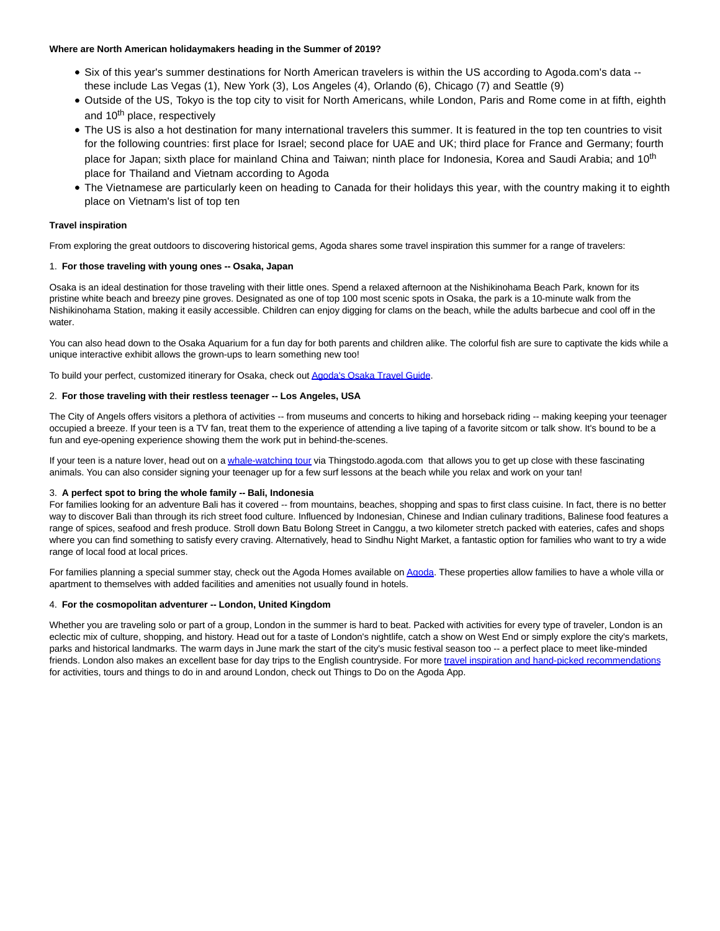### **Where are North American holidaymakers heading in the Summer of 2019?**

- Six of this year's summer destinations for North American travelers is within the US according to Agoda.com's data -these include Las Vegas (1), New York (3), Los Angeles (4), Orlando (6), Chicago (7) and Seattle (9)
- Outside of the US, Tokyo is the top city to visit for North Americans, while London, Paris and Rome come in at fifth, eighth and 10<sup>th</sup> place, respectively
- The US is also a hot destination for many international travelers this summer. It is featured in the top ten countries to visit for the following countries: first place for Israel; second place for UAE and UK; third place for France and Germany; fourth place for Japan; sixth place for mainland China and Taiwan; ninth place for Indonesia, Korea and Saudi Arabia; and 10<sup>th</sup> place for Thailand and Vietnam according to Agoda
- The Vietnamese are particularly keen on heading to Canada for their holidays this year, with the country making it to eighth place on Vietnam's list of top ten

### **Travel inspiration**

From exploring the great outdoors to discovering historical gems, Agoda shares some travel inspiration this summer for a range of travelers:

### 1. **For those traveling with young ones -- Osaka, Japan**

Osaka is an ideal destination for those traveling with their little ones. Spend a relaxed afternoon at the Nishikinohama Beach Park, known for its pristine white beach and breezy pine groves. Designated as one of top 100 most scenic spots in Osaka, the park is a 10-minute walk from the Nishikinohama Station, making it easily accessible. Children can enjoy digging for clams on the beach, while the adults barbecue and cool off in the water.

You can also head down to the Osaka Aquarium for a fun day for both parents and children alike. The colorful fish are sure to captivate the kids while a unique interactive exhibit allows the grown-ups to learn something new too!

To build your perfect, customized itinerary for Osaka, check ou[t Agoda's Osaka Travel Guide.](https://www.agoda.com/travel-guides/japan/osaka?site=id1811392)

### 2. **For those traveling with their restless teenager -- Los Angeles, USA**

The City of Angels offers visitors a plethora of activities -- from museums and concerts to hiking and horseback riding -- making keeping your teenager occupied a breeze. If your teen is a TV fan, treat them to the experience of attending a live taping of a favorite sitcom or talk show. It's bound to be a fun and eye-opening experience showing them the work put in behind-the-scenes.

If your teen is a nature lover, head out on a [whale-watching tour v](http://thingstodo.agoda.com/en/68407/tours/Newport-Beach/Whale-Watching-Cruise-from-Newport-Beach/d26104-5481WHALE?site=id1811392)ia Thingstodo.agoda.com that allows you to get up close with these fascinating animals. You can also consider signing your teenager up for a few surf lessons at the beach while you relax and work on your tan!

### 3. **A perfect spot to bring the whole family -- Bali, Indonesia**

For families looking for an adventure Bali has it covered -- from mountains, beaches, shopping and spas to first class cuisine. In fact, there is no better way to discover Bali than through its rich street food culture. Influenced by Indonesian, Chinese and Indian culinary traditions, Balinese food features a range of spices, seafood and fresh produce. Stroll down Batu Bolong Street in Canggu, a two kilometer stretch packed with eateries, cafes and shops where you can find something to satisfy every craving. Alternatively, head to Sindhu Night Market, a fantastic option for families who want to try a wide range of local food at local prices.

For families planning a special summer stay, check out the Agoda Homes available o[n Agoda.](https://www.agoda.com/en-sg/city/bali-id.html?site_id=1811392) These properties allow families to have a whole villa or apartment to themselves with added facilities and amenities not usually found in hotels.

### 4. **For the cosmopolitan adventurer -- London, United Kingdom**

Whether you are traveling solo or part of a group, London in the summer is hard to beat. Packed with activities for every type of traveler, London is an eclectic mix of culture, shopping, and history. Head out for a taste of London's nightlife, catch a show on West End or simply explore the city's markets, parks and historical landmarks. The warm days in June mark the start of the city's music festival season too -- a perfect place to meet like-minded friends. London also makes an excellent base for day trips to the English countryside. For more [travel inspiration and hand-picked recommendations](http://thingstodo.agoda.com/?site=id1811392) for activities, tours and things to do in and around London, check out Things to Do on the Agoda App.